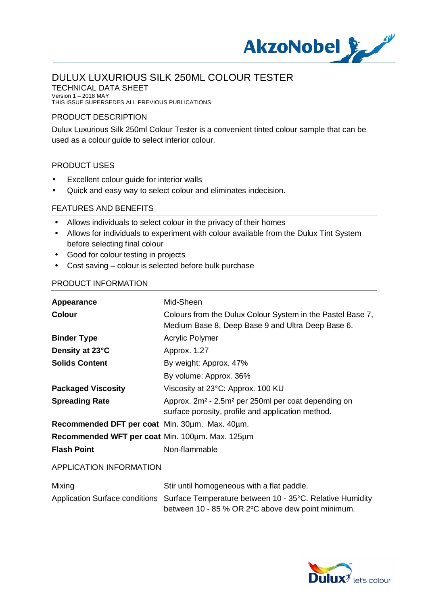

TECHNICAL DATA SHEET Version 1 – 2018 MAY

THIS ISSUE SUPERSEDES ALL PREVIOUS PUBLICATIONS

### PRODUCT DESCRIPTION

Dulux Luxurious Silk 250ml Colour Tester is a convenient tinted colour sample that can be used as a colour guide to select interior colour.

### PRODUCT USES

- Excellent colour guide for interior walls t.
- Quick and easy way to select colour and eliminates indecision. t.

### FEATURES AND BENEFITS

- Allows individuals to select colour in the privacy of their homes
- Allows for individuals to experiment with colour available from the Dulux Tint System  $\blacksquare$ before selecting final colour
- Good for colour testing in projects
- Cost saving colour is selected before bulk purchase t.

### PRODUCT INFORMATION

| Appearance                                      | Mid-Sheen                                                                                                                        |
|-------------------------------------------------|----------------------------------------------------------------------------------------------------------------------------------|
| <b>Colour</b>                                   | Colours from the Dulux Colour System in the Pastel Base 7,<br>Medium Base 8, Deep Base 9 and Ultra Deep Base 6.                  |
| <b>Binder Type</b>                              | <b>Acrylic Polymer</b>                                                                                                           |
| Density at 23°C                                 | Approx. 1.27                                                                                                                     |
| <b>Solids Content</b>                           | By weight: Approx. 47%                                                                                                           |
|                                                 | By volume: Approx. 36%                                                                                                           |
| <b>Packaged Viscosity</b>                       | Viscosity at 23°C: Approx. 100 KU                                                                                                |
| <b>Spreading Rate</b>                           | Approx. 2m <sup>2</sup> - 2.5m <sup>2</sup> per 250ml per coat depending on<br>surface porosity, profile and application method. |
| Recommended DFT per coat Min. 30um. Max. 40um.  |                                                                                                                                  |
| Recommended WFT per coat Min. 100um. Max. 125um |                                                                                                                                  |
| <b>Flash Point</b>                              | Non-flammable                                                                                                                    |

#### APPLICATION INFORMATION

| Mixing | Stir until homogeneous with a flat paddle.                                              |
|--------|-----------------------------------------------------------------------------------------|
|        | Application Surface conditions Surface Temperature between 10 - 35°C. Relative Humidity |
|        | between 10 - 85 % OR 2 °C above dew point minimum.                                      |

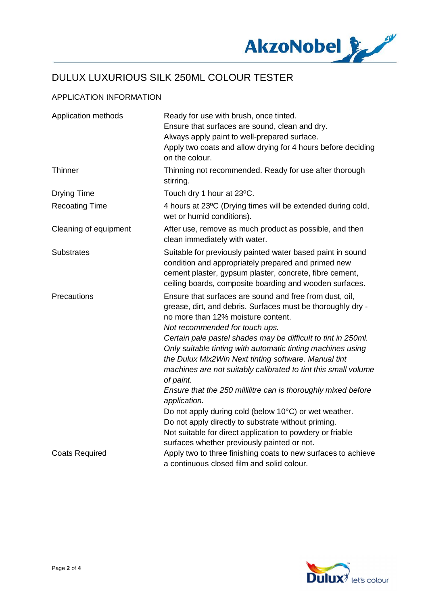

### APPLICATION INFORMATION

| Application methods   | Ready for use with brush, once tinted.<br>Ensure that surfaces are sound, clean and dry.<br>Always apply paint to well-prepared surface.<br>Apply two coats and allow drying for 4 hours before deciding<br>on the colour.                                                                                                                                                                                                                                                                                                                                                                                                                                                                                                           |
|-----------------------|--------------------------------------------------------------------------------------------------------------------------------------------------------------------------------------------------------------------------------------------------------------------------------------------------------------------------------------------------------------------------------------------------------------------------------------------------------------------------------------------------------------------------------------------------------------------------------------------------------------------------------------------------------------------------------------------------------------------------------------|
| Thinner               | Thinning not recommended. Ready for use after thorough<br>stirring.                                                                                                                                                                                                                                                                                                                                                                                                                                                                                                                                                                                                                                                                  |
| <b>Drying Time</b>    | Touch dry 1 hour at 23°C.                                                                                                                                                                                                                                                                                                                                                                                                                                                                                                                                                                                                                                                                                                            |
| <b>Recoating Time</b> | 4 hours at 23°C (Drying times will be extended during cold,<br>wet or humid conditions).                                                                                                                                                                                                                                                                                                                                                                                                                                                                                                                                                                                                                                             |
| Cleaning of equipment | After use, remove as much product as possible, and then<br>clean immediately with water.                                                                                                                                                                                                                                                                                                                                                                                                                                                                                                                                                                                                                                             |
| <b>Substrates</b>     | Suitable for previously painted water based paint in sound<br>condition and appropriately prepared and primed new<br>cement plaster, gypsum plaster, concrete, fibre cement,<br>ceiling boards, composite boarding and wooden surfaces.                                                                                                                                                                                                                                                                                                                                                                                                                                                                                              |
| Precautions           | Ensure that surfaces are sound and free from dust, oil,<br>grease, dirt, and debris. Surfaces must be thoroughly dry -<br>no more than 12% moisture content.<br>Not recommended for touch ups.<br>Certain pale pastel shades may be difficult to tint in 250ml.<br>Only suitable tinting with automatic tinting machines using<br>the Dulux Mix2 Win Next tinting software. Manual tint<br>machines are not suitably calibrated to tint this small volume<br>of paint.<br>Ensure that the 250 millilitre can is thoroughly mixed before<br>application.<br>Do not apply during cold (below 10°C) or wet weather.<br>Do not apply directly to substrate without priming.<br>Not suitable for direct application to powdery or friable |
| <b>Coats Required</b> | surfaces whether previously painted or not.<br>Apply two to three finishing coats to new surfaces to achieve<br>a continuous closed film and solid colour.                                                                                                                                                                                                                                                                                                                                                                                                                                                                                                                                                                           |

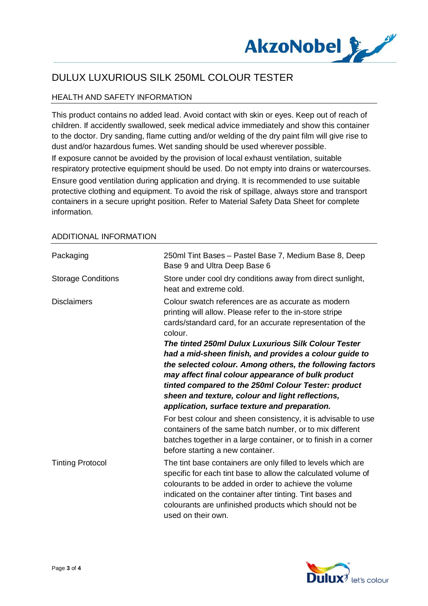

## HEALTH AND SAFETY INFORMATION

This product contains no added lead. Avoid contact with skin or eyes. Keep out of reach of children. If accidently swallowed, seek medical advice immediately and show this container to the doctor. Dry sanding, flame cutting and/or welding of the dry paint film will give rise to dust and/or hazardous fumes. Wet sanding should be used wherever possible. If exposure cannot be avoided by the provision of local exhaust ventilation, suitable respiratory protective equipment should be used. Do not empty into drains or watercourses.

Ensure good ventilation during application and drying. It is recommended to use suitable protective clothing and equipment. To avoid the risk of spillage, always store and transport containers in a secure upright position. Refer to Material Safety Data Sheet for complete information.

| Packaging                 | 250ml Tint Bases - Pastel Base 7, Medium Base 8, Deep<br>Base 9 and Ultra Deep Base 6                                                                                                                                                                                                                                                                                                       |
|---------------------------|---------------------------------------------------------------------------------------------------------------------------------------------------------------------------------------------------------------------------------------------------------------------------------------------------------------------------------------------------------------------------------------------|
| <b>Storage Conditions</b> | Store under cool dry conditions away from direct sunlight,<br>heat and extreme cold.                                                                                                                                                                                                                                                                                                        |
| <b>Disclaimers</b>        | Colour swatch references are as accurate as modern<br>printing will allow. Please refer to the in-store stripe<br>cards/standard card, for an accurate representation of the<br>colour.                                                                                                                                                                                                     |
|                           | The tinted 250ml Dulux Luxurious Silk Colour Tester<br>had a mid-sheen finish, and provides a colour guide to<br>the selected colour. Among others, the following factors<br>may affect final colour appearance of bulk product<br>tinted compared to the 250ml Colour Tester: product<br>sheen and texture, colour and light reflections,<br>application, surface texture and preparation. |
|                           | For best colour and sheen consistency, it is advisable to use<br>containers of the same batch number, or to mix different<br>batches together in a large container, or to finish in a corner<br>before starting a new container.                                                                                                                                                            |
| <b>Tinting Protocol</b>   | The tint base containers are only filled to levels which are<br>specific for each tint base to allow the calculated volume of<br>colourants to be added in order to achieve the volume<br>indicated on the container after tinting. Tint bases and<br>colourants are unfinished products which should not be<br>used on their own.                                                          |

#### ADDITIONAL INFORMATION